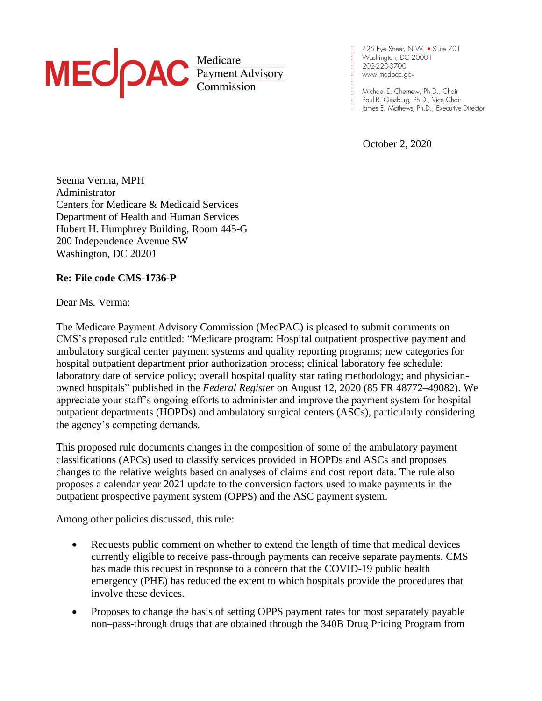# MEC PAC Redicare

425 Eye Street, N.W. . Suite 701 Washington, DC 20001 202-220-3700 www.medpac.gov

. . . . . . . . . . . . . . . . . . . . . .

Michael E. Chernew, Ph.D., Chair Paul B. Ginsburg, Ph.D., Vice Chair James E. Mathews, Ph.D., Executive Director

October 2, 2020

Seema Verma, MPH Administrator Centers for Medicare & Medicaid Services Department of Health and Human Services Hubert H. Humphrey Building, Room 445-G 200 Independence Avenue SW Washington, DC 20201

# **Re: File code CMS-1736-P**

Dear Ms. Verma:

The Medicare Payment Advisory Commission (MedPAC) is pleased to submit comments on CMS's proposed rule entitled: "Medicare program: Hospital outpatient prospective payment and ambulatory surgical center payment systems and quality reporting programs; new categories for hospital outpatient department prior authorization process; clinical laboratory fee schedule: laboratory date of service policy; overall hospital quality star rating methodology; and physicianowned hospitals" published in the *Federal Register* on August 12, 2020 (85 FR 48772–49082). We appreciate your staff's ongoing efforts to administer and improve the payment system for hospital outpatient departments (HOPDs) and ambulatory surgical centers (ASCs), particularly considering the agency's competing demands.

This proposed rule documents changes in the composition of some of the ambulatory payment classifications (APCs) used to classify services provided in HOPDs and ASCs and proposes changes to the relative weights based on analyses of claims and cost report data. The rule also proposes a calendar year 2021 update to the conversion factors used to make payments in the outpatient prospective payment system (OPPS) and the ASC payment system.

Among other policies discussed, this rule:

- Requests public comment on whether to extend the length of time that medical devices currently eligible to receive pass-through payments can receive separate payments. CMS has made this request in response to a concern that the COVID-19 public health emergency (PHE) has reduced the extent to which hospitals provide the procedures that involve these devices.
- Proposes to change the basis of setting OPPS payment rates for most separately payable non–pass-through drugs that are obtained through the 340B Drug Pricing Program from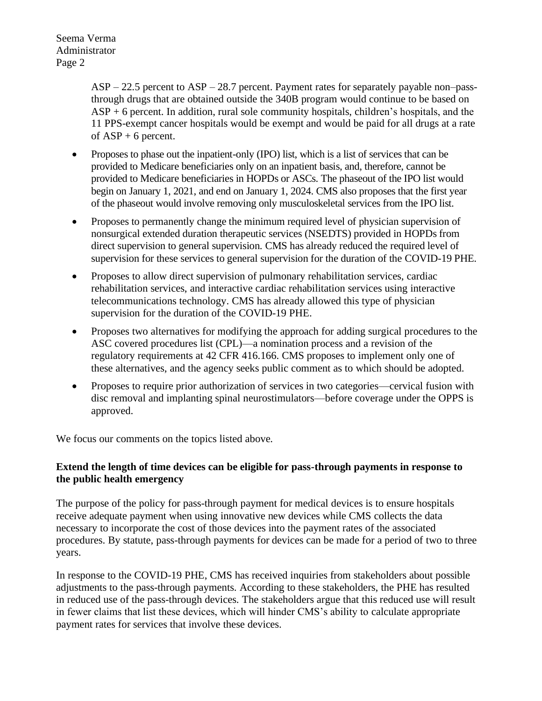> ASP – 22.5 percent to ASP – 28.7 percent. Payment rates for separately payable non–passthrough drugs that are obtained outside the 340B program would continue to be based on ASP + 6 percent. In addition, rural sole community hospitals, children's hospitals, and the 11 PPS-exempt cancer hospitals would be exempt and would be paid for all drugs at a rate of  $ASP + 6$  percent.

- Proposes to phase out the inpatient-only (IPO) list, which is a list of services that can be provided to Medicare beneficiaries only on an inpatient basis, and, therefore, cannot be provided to Medicare beneficiaries in HOPDs or ASCs. The phaseout of the IPO list would begin on January 1, 2021, and end on January 1, 2024. CMS also proposes that the first year of the phaseout would involve removing only musculoskeletal services from the IPO list.
- Proposes to permanently change the minimum required level of physician supervision of nonsurgical extended duration therapeutic services (NSEDTS) provided in HOPDs from direct supervision to general supervision. CMS has already reduced the required level of supervision for these services to general supervision for the duration of the COVID-19 PHE.
- Proposes to allow direct supervision of pulmonary rehabilitation services, cardiac rehabilitation services, and interactive cardiac rehabilitation services using interactive telecommunications technology. CMS has already allowed this type of physician supervision for the duration of the COVID-19 PHE.
- Proposes two alternatives for modifying the approach for adding surgical procedures to the ASC covered procedures list (CPL)—a nomination process and a revision of the regulatory requirements at 42 CFR 416.166. CMS proposes to implement only one of these alternatives, and the agency seeks public comment as to which should be adopted.
- Proposes to require prior authorization of services in two categories—cervical fusion with disc removal and implanting spinal neurostimulators—before coverage under the OPPS is approved.

We focus our comments on the topics listed above.

# **Extend the length of time devices can be eligible for pass-through payments in response to the public health emergency**

The purpose of the policy for pass-through payment for medical devices is to ensure hospitals receive adequate payment when using innovative new devices while CMS collects the data necessary to incorporate the cost of those devices into the payment rates of the associated procedures. By statute, pass-through payments for devices can be made for a period of two to three years.

In response to the COVID-19 PHE, CMS has received inquiries from stakeholders about possible adjustments to the pass-through payments. According to these stakeholders, the PHE has resulted in reduced use of the pass-through devices. The stakeholders argue that this reduced use will result in fewer claims that list these devices, which will hinder CMS's ability to calculate appropriate payment rates for services that involve these devices.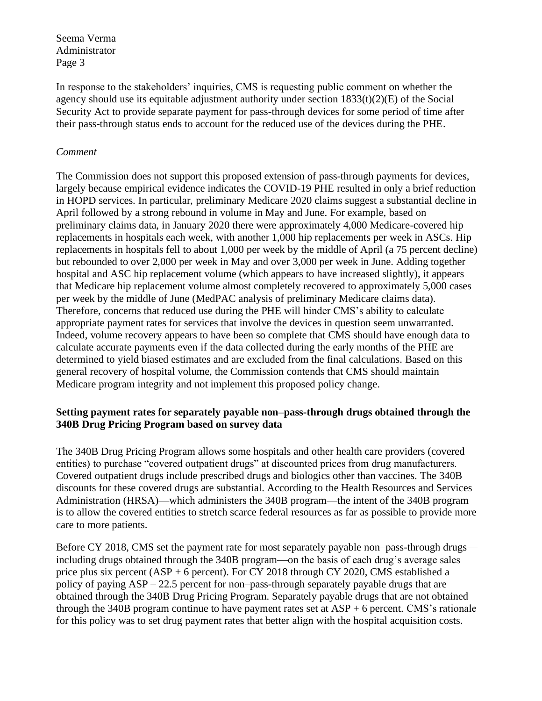In response to the stakeholders' inquiries, CMS is requesting public comment on whether the agency should use its equitable adjustment authority under section  $1833(t)(2)(E)$  of the Social Security Act to provide separate payment for pass-through devices for some period of time after their pass-through status ends to account for the reduced use of the devices during the PHE.

### *Comment*

The Commission does not support this proposed extension of pass-through payments for devices, largely because empirical evidence indicates the COVID-19 PHE resulted in only a brief reduction in HOPD services. In particular, preliminary Medicare 2020 claims suggest a substantial decline in April followed by a strong rebound in volume in May and June. For example, based on preliminary claims data, in January 2020 there were approximately 4,000 Medicare-covered hip replacements in hospitals each week, with another 1,000 hip replacements per week in ASCs. Hip replacements in hospitals fell to about 1,000 per week by the middle of April (a 75 percent decline) but rebounded to over 2,000 per week in May and over 3,000 per week in June. Adding together hospital and ASC hip replacement volume (which appears to have increased slightly), it appears that Medicare hip replacement volume almost completely recovered to approximately 5,000 cases per week by the middle of June (MedPAC analysis of preliminary Medicare claims data). Therefore, concerns that reduced use during the PHE will hinder CMS's ability to calculate appropriate payment rates for services that involve the devices in question seem unwarranted. Indeed, volume recovery appears to have been so complete that CMS should have enough data to calculate accurate payments even if the data collected during the early months of the PHE are determined to yield biased estimates and are excluded from the final calculations. Based on this general recovery of hospital volume, the Commission contends that CMS should maintain Medicare program integrity and not implement this proposed policy change.

# **Setting payment rates for separately payable non–pass-through drugs obtained through the 340B Drug Pricing Program based on survey data**

The 340B Drug Pricing Program allows some hospitals and other health care providers (covered entities) to purchase "covered outpatient drugs" at discounted prices from drug manufacturers. Covered outpatient drugs include prescribed drugs and biologics other than vaccines. The 340B discounts for these covered drugs are substantial. According to the Health Resources and Services Administration (HRSA)—which administers the 340B program—the intent of the 340B program is to allow the covered entities to stretch scarce federal resources as far as possible to provide more care to more patients.

Before CY 2018, CMS set the payment rate for most separately payable non–pass-through drugs including drugs obtained through the 340B program—on the basis of each drug's average sales price plus six percent ( $ASP + 6$  percent). For CY 2018 through CY 2020, CMS established a policy of paying ASP – 22.5 percent for non–pass-through separately payable drugs that are obtained through the 340B Drug Pricing Program. Separately payable drugs that are not obtained through the 340B program continue to have payment rates set at  $ASP + 6$  percent. CMS's rationale for this policy was to set drug payment rates that better align with the hospital acquisition costs.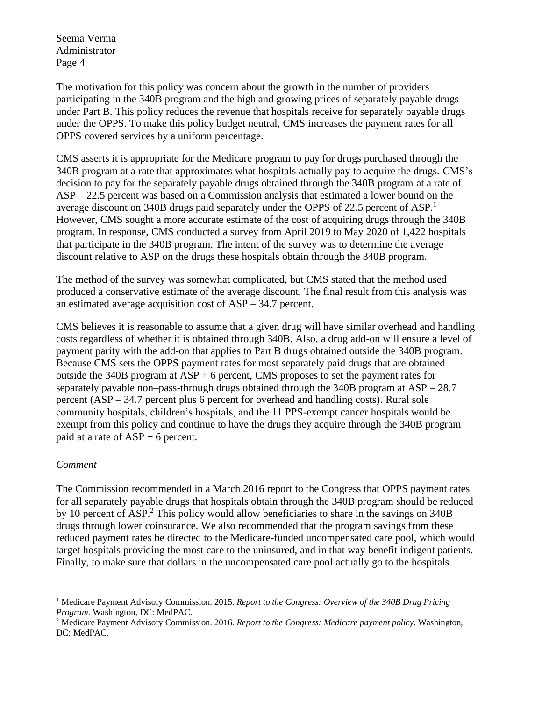The motivation for this policy was concern about the growth in the number of providers participating in the 340B program and the high and growing prices of separately payable drugs under Part B. This policy reduces the revenue that hospitals receive for separately payable drugs under the OPPS. To make this policy budget neutral, CMS increases the payment rates for all OPPS covered services by a uniform percentage.

CMS asserts it is appropriate for the Medicare program to pay for drugs purchased through the 340B program at a rate that approximates what hospitals actually pay to acquire the drugs. CMS's decision to pay for the separately payable drugs obtained through the 340B program at a rate of ASP – 22.5 percent was based on a Commission analysis that estimated a lower bound on the average discount on 340B drugs paid separately under the OPPS of 22.5 percent of ASP.<sup>1</sup> However, CMS sought a more accurate estimate of the cost of acquiring drugs through the 340B program. In response, CMS conducted a survey from April 2019 to May 2020 of 1,422 hospitals that participate in the 340B program. The intent of the survey was to determine the average discount relative to ASP on the drugs these hospitals obtain through the 340B program.

The method of the survey was somewhat complicated, but CMS stated that the method used produced a conservative estimate of the average discount. The final result from this analysis was an estimated average acquisition cost of ASP – 34.7 percent.

CMS believes it is reasonable to assume that a given drug will have similar overhead and handling costs regardless of whether it is obtained through 340B. Also, a drug add-on will ensure a level of payment parity with the add-on that applies to Part B drugs obtained outside the 340B program. Because CMS sets the OPPS payment rates for most separately paid drugs that are obtained outside the 340B program at  $\text{ASP} + 6$  percent, CMS proposes to set the payment rates for separately payable non–pass-through drugs obtained through the 340B program at ASP – 28.7 percent (ASP – 34.7 percent plus 6 percent for overhead and handling costs). Rural sole community hospitals, children's hospitals, and the 11 PPS-exempt cancer hospitals would be exempt from this policy and continue to have the drugs they acquire through the 340B program paid at a rate of  $ASP + 6$  percent.

# *Comment*

The Commission recommended in a March 2016 report to the Congress that OPPS payment rates for all separately payable drugs that hospitals obtain through the 340B program should be reduced by 10 percent of ASP.<sup>2</sup> This policy would allow beneficiaries to share in the savings on  $340B$ drugs through lower coinsurance. We also recommended that the program savings from these reduced payment rates be directed to the Medicare-funded uncompensated care pool, which would target hospitals providing the most care to the uninsured, and in that way benefit indigent patients. Finally, to make sure that dollars in the uncompensated care pool actually go to the hospitals

<sup>1</sup> Medicare Payment Advisory Commission. 2015. *Report to the Congress: Overview of the 340B Drug Pricing Program*. Washington, DC: MedPAC.

<sup>2</sup> Medicare Payment Advisory Commission. 2016. *Report to the Congress: Medicare payment policy*. Washington, DC: MedPAC.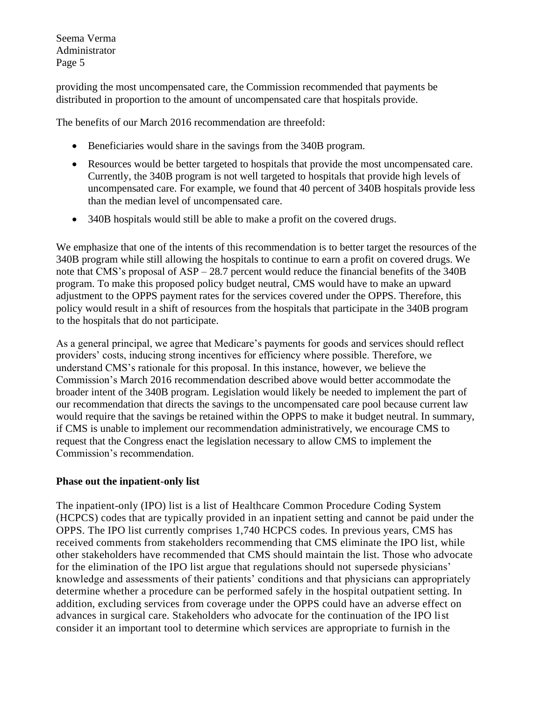providing the most uncompensated care, the Commission recommended that payments be distributed in proportion to the amount of uncompensated care that hospitals provide.

The benefits of our March 2016 recommendation are threefold:

- Beneficiaries would share in the savings from the 340B program.
- Resources would be better targeted to hospitals that provide the most uncompensated care. Currently, the 340B program is not well targeted to hospitals that provide high levels of uncompensated care. For example, we found that 40 percent of 340B hospitals provide less than the median level of uncompensated care.
- 340B hospitals would still be able to make a profit on the covered drugs.

We emphasize that one of the intents of this recommendation is to better target the resources of the 340B program while still allowing the hospitals to continue to earn a profit on covered drugs. We note that CMS's proposal of ASP – 28.7 percent would reduce the financial benefits of the 340B program. To make this proposed policy budget neutral, CMS would have to make an upward adjustment to the OPPS payment rates for the services covered under the OPPS. Therefore, this policy would result in a shift of resources from the hospitals that participate in the 340B program to the hospitals that do not participate.

As a general principal, we agree that Medicare's payments for goods and services should reflect providers' costs, inducing strong incentives for efficiency where possible. Therefore, we understand CMS's rationale for this proposal. In this instance, however, we believe the Commission's March 2016 recommendation described above would better accommodate the broader intent of the 340B program. Legislation would likely be needed to implement the part of our recommendation that directs the savings to the uncompensated care pool because current law would require that the savings be retained within the OPPS to make it budget neutral. In summary, if CMS is unable to implement our recommendation administratively, we encourage CMS to request that the Congress enact the legislation necessary to allow CMS to implement the Commission's recommendation.

# **Phase out the inpatient-only list**

The inpatient-only (IPO) list is a list of Healthcare Common Procedure Coding System (HCPCS) codes that are typically provided in an inpatient setting and cannot be paid under the OPPS. The IPO list currently comprises 1,740 HCPCS codes. In previous years, CMS has received comments from stakeholders recommending that CMS eliminate the IPO list, while other stakeholders have recommended that CMS should maintain the list. Those who advocate for the elimination of the IPO list argue that regulations should not supersede physicians' knowledge and assessments of their patients' conditions and that physicians can appropriately determine whether a procedure can be performed safely in the hospital outpatient setting. In addition, excluding services from coverage under the OPPS could have an adverse effect on advances in surgical care. Stakeholders who advocate for the continuation of the IPO list consider it an important tool to determine which services are appropriate to furnish in the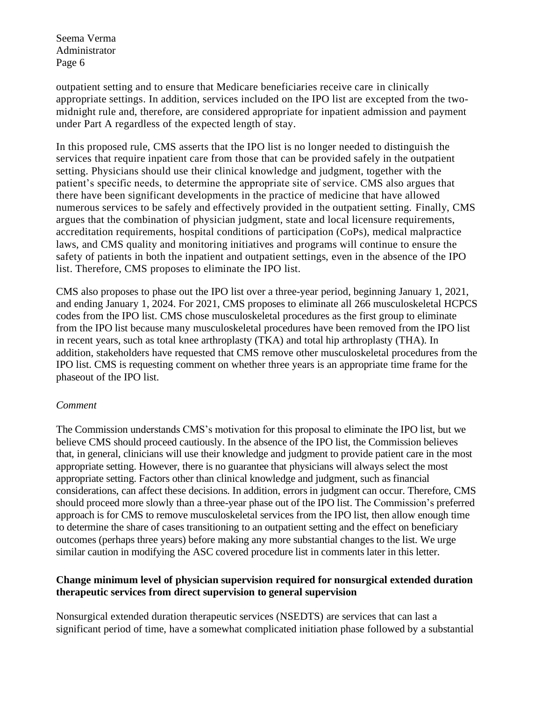outpatient setting and to ensure that Medicare beneficiaries receive care in clinically appropriate settings. In addition, services included on the IPO list are excepted from the twomidnight rule and, therefore, are considered appropriate for inpatient admission and payment under Part A regardless of the expected length of stay.

In this proposed rule, CMS asserts that the IPO list is no longer needed to distinguish the services that require inpatient care from those that can be provided safely in the outpatient setting. Physicians should use their clinical knowledge and judgment, together with the patient's specific needs, to determine the appropriate site of service. CMS also argues that there have been significant developments in the practice of medicine that have allowed numerous services to be safely and effectively provided in the outpatient setting. Finally, CMS argues that the combination of physician judgment, state and local licensure requirements, accreditation requirements, hospital conditions of participation (CoPs), medical malpractice laws, and CMS quality and monitoring initiatives and programs will continue to ensure the safety of patients in both the inpatient and outpatient settings, even in the absence of the IPO list. Therefore, CMS proposes to eliminate the IPO list.

CMS also proposes to phase out the IPO list over a three-year period, beginning January 1, 2021, and ending January 1, 2024. For 2021, CMS proposes to eliminate all 266 musculoskeletal HCPCS codes from the IPO list. CMS chose musculoskeletal procedures as the first group to eliminate from the IPO list because many musculoskeletal procedures have been removed from the IPO list in recent years, such as total knee arthroplasty (TKA) and total hip arthroplasty (THA). In addition, stakeholders have requested that CMS remove other musculoskeletal procedures from the IPO list. CMS is requesting comment on whether three years is an appropriate time frame for the phaseout of the IPO list.

### *Comment*

The Commission understands CMS's motivation for this proposal to eliminate the IPO list, but we believe CMS should proceed cautiously. In the absence of the IPO list, the Commission believes that, in general, clinicians will use their knowledge and judgment to provide patient care in the most appropriate setting. However, there is no guarantee that physicians will always select the most appropriate setting. Factors other than clinical knowledge and judgment, such as financial considerations, can affect these decisions. In addition, errors in judgment can occur. Therefore, CMS should proceed more slowly than a three-year phase out of the IPO list. The Commission's preferred approach is for CMS to remove musculoskeletal services from the IPO list, then allow enough time to determine the share of cases transitioning to an outpatient setting and the effect on beneficiary outcomes (perhaps three years) before making any more substantial changes to the list. We urge similar caution in modifying the ASC covered procedure list in comments later in this letter.

### **Change minimum level of physician supervision required for nonsurgical extended duration therapeutic services from direct supervision to general supervision**

Nonsurgical extended duration therapeutic services (NSEDTS) are services that can last a significant period of time, have a somewhat complicated initiation phase followed by a substantial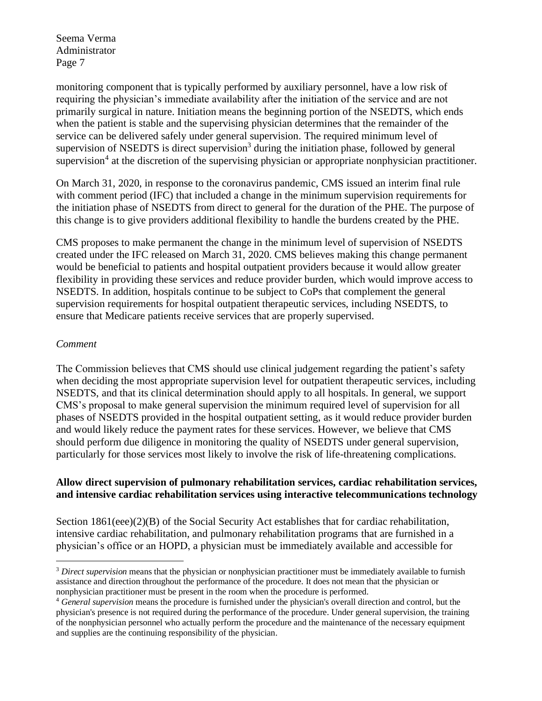monitoring component that is typically performed by auxiliary personnel, have a low risk of requiring the physician's immediate availability after the initiation of the service and are not primarily surgical in nature. Initiation means the beginning portion of the NSEDTS, which ends when the patient is stable and the supervising physician determines that the remainder of the service can be delivered safely under general supervision. The required minimum level of supervision of NSEDTS is direct supervision<sup>3</sup> during the initiation phase, followed by general supervision<sup>4</sup> at the discretion of the supervising physician or appropriate nonphysician practitioner.

On March 31, 2020, in response to the coronavirus pandemic, CMS issued an interim final rule with comment period (IFC) that included a change in the minimum supervision requirements for the initiation phase of NSEDTS from direct to general for the duration of the PHE. The purpose of this change is to give providers additional flexibility to handle the burdens created by the PHE.

CMS proposes to make permanent the change in the minimum level of supervision of NSEDTS created under the IFC released on March 31, 2020. CMS believes making this change permanent would be beneficial to patients and hospital outpatient providers because it would allow greater flexibility in providing these services and reduce provider burden, which would improve access to NSEDTS. In addition, hospitals continue to be subject to CoPs that complement the general supervision requirements for hospital outpatient therapeutic services, including NSEDTS, to ensure that Medicare patients receive services that are properly supervised.

### *Comment*

The Commission believes that CMS should use clinical judgement regarding the patient's safety when deciding the most appropriate supervision level for outpatient therapeutic services, including NSEDTS, and that its clinical determination should apply to all hospitals. In general, we support CMS's proposal to make general supervision the minimum required level of supervision for all phases of NSEDTS provided in the hospital outpatient setting, as it would reduce provider burden and would likely reduce the payment rates for these services. However, we believe that CMS should perform due diligence in monitoring the quality of NSEDTS under general supervision, particularly for those services most likely to involve the risk of life-threatening complications.

# **Allow direct supervision of pulmonary rehabilitation services, cardiac rehabilitation services, and intensive cardiac rehabilitation services using interactive telecommunications technology**

Section 1861(eee)(2)(B) of the Social Security Act establishes that for cardiac rehabilitation, intensive cardiac rehabilitation, and pulmonary rehabilitation programs that are furnished in a physician's office or an HOPD, a physician must be immediately available and accessible for

<sup>3</sup> *Direct supervision* means that the physician or nonphysician practitioner must be immediately available to furnish assistance and direction throughout the performance of the procedure. It does not mean that the physician or nonphysician practitioner must be present in the room when the procedure is performed.

<sup>4</sup> *General supervision* means the procedure is furnished under the physician's overall direction and control, but the physician's presence is not required during the performance of the procedure. Under general supervision, the training of the nonphysician personnel who actually perform the procedure and the maintenance of the necessary equipment and supplies are the continuing responsibility of the physician.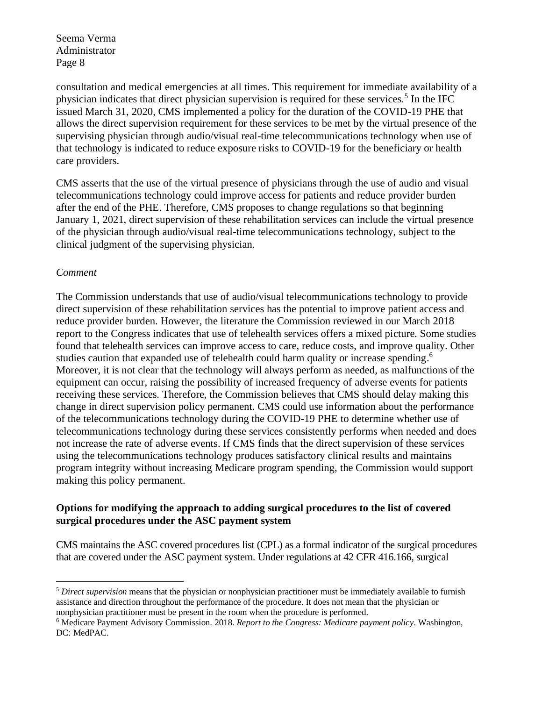consultation and medical emergencies at all times. This requirement for immediate availability of a physician indicates that direct physician supervision is required for these services.<sup>5</sup> In the IFC issued March 31, 2020, CMS implemented a policy for the duration of the COVID-19 PHE that allows the direct supervision requirement for these services to be met by the virtual presence of the supervising physician through audio/visual real-time telecommunications technology when use of that technology is indicated to reduce exposure risks to COVID-19 for the beneficiary or health care providers.

CMS asserts that the use of the virtual presence of physicians through the use of audio and visual telecommunications technology could improve access for patients and reduce provider burden after the end of the PHE. Therefore, CMS proposes to change regulations so that beginning January 1, 2021, direct supervision of these rehabilitation services can include the virtual presence of the physician through audio/visual real-time telecommunications technology, subject to the clinical judgment of the supervising physician.

### *Comment*

The Commission understands that use of audio/visual telecommunications technology to provide direct supervision of these rehabilitation services has the potential to improve patient access and reduce provider burden. However, the literature the Commission reviewed in our March 2018 report to the Congress indicates that use of telehealth services offers a mixed picture. Some studies found that telehealth services can improve access to care, reduce costs, and improve quality. Other studies caution that expanded use of telehealth could harm quality or increase spending.<sup>6</sup> Moreover, it is not clear that the technology will always perform as needed, as malfunctions of the equipment can occur, raising the possibility of increased frequency of adverse events for patients receiving these services. Therefore, the Commission believes that CMS should delay making this change in direct supervision policy permanent. CMS could use information about the performance of the telecommunications technology during the COVID-19 PHE to determine whether use of telecommunications technology during these services consistently performs when needed and does not increase the rate of adverse events. If CMS finds that the direct supervision of these services using the telecommunications technology produces satisfactory clinical results and maintains program integrity without increasing Medicare program spending, the Commission would support making this policy permanent.

# **Options for modifying the approach to adding surgical procedures to the list of covered surgical procedures under the ASC payment system**

CMS maintains the ASC covered procedures list (CPL) as a formal indicator of the surgical procedures that are covered under the ASC payment system. Under regulations at 42 CFR 416.166, surgical

<sup>5</sup> *Direct supervision* means that the physician or nonphysician practitioner must be immediately available to furnish assistance and direction throughout the performance of the procedure. It does not mean that the physician or nonphysician practitioner must be present in the room when the procedure is performed.

<sup>6</sup> Medicare Payment Advisory Commission. 2018. *Report to the Congress: Medicare payment policy*. Washington, DC: MedPAC.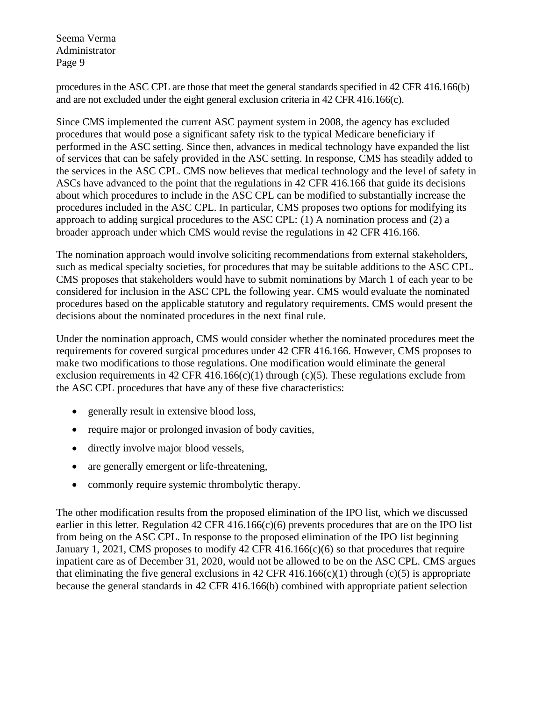procedures in the ASC CPL are those that meet the general standards specified in 42 CFR 416.166(b) and are not excluded under the eight general exclusion criteria in 42 CFR 416.166(c).

Since CMS implemented the current ASC payment system in 2008, the agency has excluded procedures that would pose a significant safety risk to the typical Medicare beneficiary if performed in the ASC setting. Since then, advances in medical technology have expanded the list of services that can be safely provided in the ASC setting. In response, CMS has steadily added to the services in the ASC CPL. CMS now believes that medical technology and the level of safety in ASCs have advanced to the point that the regulations in 42 CFR 416.166 that guide its decisions about which procedures to include in the ASC CPL can be modified to substantially increase the procedures included in the ASC CPL. In particular, CMS proposes two options for modifying its approach to adding surgical procedures to the ASC CPL: (1) A nomination process and (2) a broader approach under which CMS would revise the regulations in 42 CFR 416.166.

The nomination approach would involve soliciting recommendations from external stakeholders, such as medical specialty societies, for procedures that may be suitable additions to the ASC CPL. CMS proposes that stakeholders would have to submit nominations by March 1 of each year to be considered for inclusion in the ASC CPL the following year. CMS would evaluate the nominated procedures based on the applicable statutory and regulatory requirements. CMS would present the decisions about the nominated procedures in the next final rule.

Under the nomination approach, CMS would consider whether the nominated procedures meet the requirements for covered surgical procedures under 42 CFR 416.166. However, CMS proposes to make two modifications to those regulations. One modification would eliminate the general exclusion requirements in 42 CFR 416.166(c)(1) through (c)(5). These regulations exclude from the ASC CPL procedures that have any of these five characteristics:

- generally result in extensive blood loss,
- require major or prolonged invasion of body cavities,
- directly involve major blood vessels,
- are generally emergent or life-threatening,
- commonly require systemic thrombolytic therapy.

The other modification results from the proposed elimination of the IPO list, which we discussed earlier in this letter. Regulation 42 CFR 416.166 $(c)(6)$  prevents procedures that are on the IPO list from being on the ASC CPL. In response to the proposed elimination of the IPO list beginning January 1, 2021, CMS proposes to modify 42 CFR 416.166(c)(6) so that procedures that require inpatient care as of December 31, 2020, would not be allowed to be on the ASC CPL. CMS argues that eliminating the five general exclusions in 42 CFR 416.166(c)(1) through (c)(5) is appropriate because the general standards in 42 CFR 416.166(b) combined with appropriate patient selection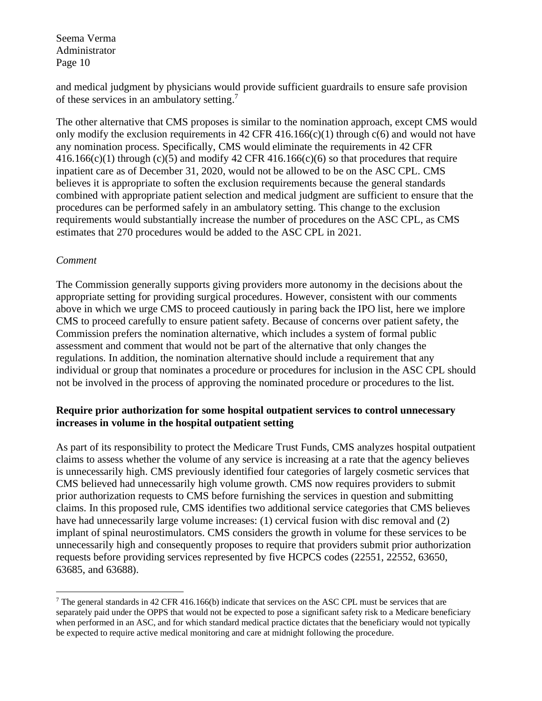and medical judgment by physicians would provide sufficient guardrails to ensure safe provision of these services in an ambulatory setting. 7

The other alternative that CMS proposes is similar to the nomination approach, except CMS would only modify the exclusion requirements in 42 CFR 416.166(c)(1) through  $c(6)$  and would not have any nomination process. Specifically, CMS would eliminate the requirements in 42 CFR  $416.166(c)(1)$  through (c)(5) and modify  $42$  CFR  $416.166(c)(6)$  so that procedures that require inpatient care as of December 31, 2020, would not be allowed to be on the ASC CPL. CMS believes it is appropriate to soften the exclusion requirements because the general standards combined with appropriate patient selection and medical judgment are sufficient to ensure that the procedures can be performed safely in an ambulatory setting. This change to the exclusion requirements would substantially increase the number of procedures on the ASC CPL, as CMS estimates that 270 procedures would be added to the ASC CPL in 2021.

### *Comment*

The Commission generally supports giving providers more autonomy in the decisions about the appropriate setting for providing surgical procedures. However, consistent with our comments above in which we urge CMS to proceed cautiously in paring back the IPO list, here we implore CMS to proceed carefully to ensure patient safety. Because of concerns over patient safety, the Commission prefers the nomination alternative, which includes a system of formal public assessment and comment that would not be part of the alternative that only changes the regulations. In addition, the nomination alternative should include a requirement that any individual or group that nominates a procedure or procedures for inclusion in the ASC CPL should not be involved in the process of approving the nominated procedure or procedures to the list.

### **Require prior authorization for some hospital outpatient services to control unnecessary increases in volume in the hospital outpatient setting**

As part of its responsibility to protect the Medicare Trust Funds, CMS analyzes hospital outpatient claims to assess whether the volume of any service is increasing at a rate that the agency believes is unnecessarily high. CMS previously identified four categories of largely cosmetic services that CMS believed had unnecessarily high volume growth. CMS now requires providers to submit prior authorization requests to CMS before furnishing the services in question and submitting claims. In this proposed rule, CMS identifies two additional service categories that CMS believes have had unnecessarily large volume increases: (1) cervical fusion with disc removal and (2) implant of spinal neurostimulators. CMS considers the growth in volume for these services to be unnecessarily high and consequently proposes to require that providers submit prior authorization requests before providing services represented by five HCPCS codes (22551, 22552, 63650, 63685, and 63688).

<sup>&</sup>lt;sup>7</sup> The general standards in 42 CFR 416.166(b) indicate that services on the ASC CPL must be services that are separately paid under the OPPS that would not be expected to pose a significant safety risk to a Medicare beneficiary when performed in an ASC, and for which standard medical practice dictates that the beneficiary would not typically be expected to require active medical monitoring and care at midnight following the procedure.